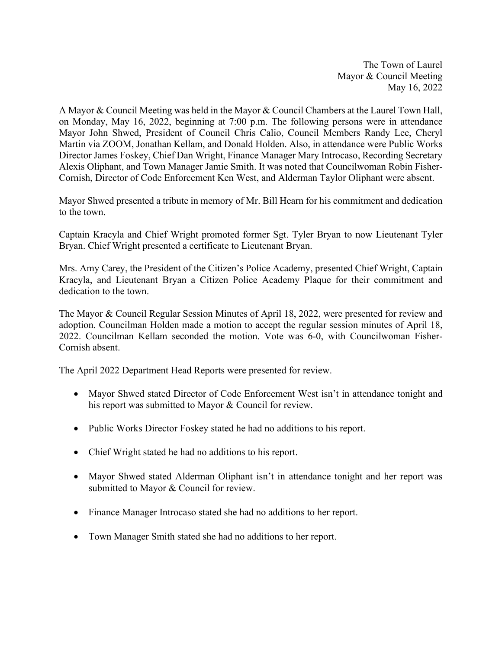The Town of Laurel Mayor & Council Meeting May 16, 2022

A Mayor & Council Meeting was held in the Mayor & Council Chambers at the Laurel Town Hall, on Monday, May 16, 2022, beginning at 7:00 p.m. The following persons were in attendance Mayor John Shwed, President of Council Chris Calio, Council Members Randy Lee, Cheryl Martin via ZOOM, Jonathan Kellam, and Donald Holden. Also, in attendance were Public Works Director James Foskey, Chief Dan Wright, Finance Manager Mary Introcaso, Recording Secretary Alexis Oliphant, and Town Manager Jamie Smith. It was noted that Councilwoman Robin Fisher-Cornish, Director of Code Enforcement Ken West, and Alderman Taylor Oliphant were absent.

Mayor Shwed presented a tribute in memory of Mr. Bill Hearn for his commitment and dedication to the town.

Captain Kracyla and Chief Wright promoted former Sgt. Tyler Bryan to now Lieutenant Tyler Bryan. Chief Wright presented a certificate to Lieutenant Bryan.

Mrs. Amy Carey, the President of the Citizen's Police Academy, presented Chief Wright, Captain Kracyla, and Lieutenant Bryan a Citizen Police Academy Plaque for their commitment and dedication to the town.

The Mayor & Council Regular Session Minutes of April 18, 2022, were presented for review and adoption. Councilman Holden made a motion to accept the regular session minutes of April 18, 2022. Councilman Kellam seconded the motion. Vote was 6-0, with Councilwoman Fisher-Cornish absent.

The April 2022 Department Head Reports were presented for review.

- Mayor Shwed stated Director of Code Enforcement West isn't in attendance tonight and his report was submitted to Mayor & Council for review.
- Public Works Director Foskey stated he had no additions to his report.
- Chief Wright stated he had no additions to his report.
- Mayor Shwed stated Alderman Oliphant isn't in attendance tonight and her report was submitted to Mayor & Council for review.
- Finance Manager Introcaso stated she had no additions to her report.
- Town Manager Smith stated she had no additions to her report.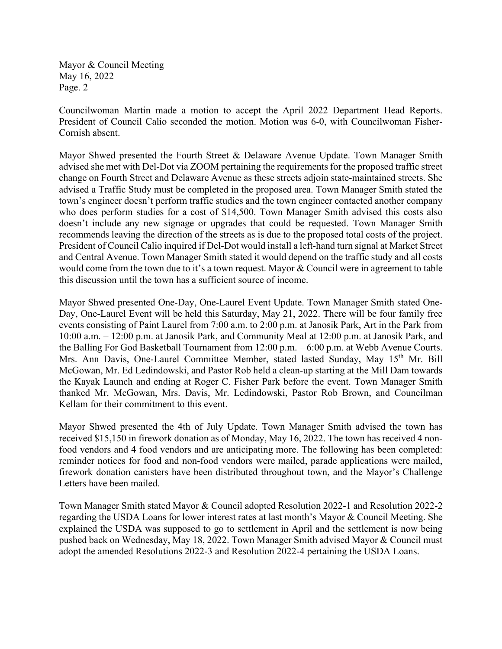Mayor & Council Meeting May 16, 2022 Page. 2

Councilwoman Martin made a motion to accept the April 2022 Department Head Reports. President of Council Calio seconded the motion. Motion was 6-0, with Councilwoman Fisher-Cornish absent.

Mayor Shwed presented the Fourth Street & Delaware Avenue Update. Town Manager Smith advised she met with Del-Dot via ZOOM pertaining the requirements for the proposed traffic street change on Fourth Street and Delaware Avenue as these streets adjoin state-maintained streets. She advised a Traffic Study must be completed in the proposed area. Town Manager Smith stated the town's engineer doesn't perform traffic studies and the town engineer contacted another company who does perform studies for a cost of \$14,500. Town Manager Smith advised this costs also doesn't include any new signage or upgrades that could be requested. Town Manager Smith recommends leaving the direction of the streets as is due to the proposed total costs of the project. President of Council Calio inquired if Del-Dot would install a left-hand turn signal at Market Street and Central Avenue. Town Manager Smith stated it would depend on the traffic study and all costs would come from the town due to it's a town request. Mayor & Council were in agreement to table this discussion until the town has a sufficient source of income.

Mayor Shwed presented One-Day, One-Laurel Event Update. Town Manager Smith stated One-Day, One-Laurel Event will be held this Saturday, May 21, 2022. There will be four family free events consisting of Paint Laurel from 7:00 a.m. to 2:00 p.m. at Janosik Park, Art in the Park from 10:00 a.m. – 12:00 p.m. at Janosik Park, and Community Meal at 12:00 p.m. at Janosik Park, and the Balling For God Basketball Tournament from 12:00 p.m. – 6:00 p.m. at Webb Avenue Courts. Mrs. Ann Davis, One-Laurel Committee Member, stated lasted Sunday, May 15<sup>th</sup> Mr. Bill McGowan, Mr. Ed Ledindowski, and Pastor Rob held a clean-up starting at the Mill Dam towards the Kayak Launch and ending at Roger C. Fisher Park before the event. Town Manager Smith thanked Mr. McGowan, Mrs. Davis, Mr. Ledindowski, Pastor Rob Brown, and Councilman Kellam for their commitment to this event.

Mayor Shwed presented the 4th of July Update. Town Manager Smith advised the town has received \$15,150 in firework donation as of Monday, May 16, 2022. The town has received 4 nonfood vendors and 4 food vendors and are anticipating more. The following has been completed: reminder notices for food and non-food vendors were mailed, parade applications were mailed, firework donation canisters have been distributed throughout town, and the Mayor's Challenge Letters have been mailed.

Town Manager Smith stated Mayor & Council adopted Resolution 2022-1 and Resolution 2022-2 regarding the USDA Loans for lower interest rates at last month's Mayor & Council Meeting. She explained the USDA was supposed to go to settlement in April and the settlement is now being pushed back on Wednesday, May 18, 2022. Town Manager Smith advised Mayor & Council must adopt the amended Resolutions 2022-3 and Resolution 2022-4 pertaining the USDA Loans.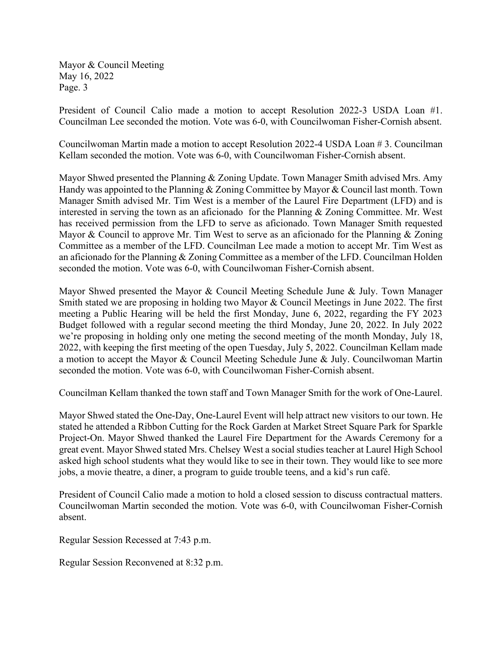Mayor & Council Meeting May 16, 2022 Page. 3

President of Council Calio made a motion to accept Resolution 2022-3 USDA Loan #1. Councilman Lee seconded the motion. Vote was 6-0, with Councilwoman Fisher-Cornish absent.

Councilwoman Martin made a motion to accept Resolution 2022-4 USDA Loan # 3. Councilman Kellam seconded the motion. Vote was 6-0, with Councilwoman Fisher-Cornish absent.

Mayor Shwed presented the Planning & Zoning Update. Town Manager Smith advised Mrs. Amy Handy was appointed to the Planning & Zoning Committee by Mayor & Council last month. Town Manager Smith advised Mr. Tim West is a member of the Laurel Fire Department (LFD) and is interested in serving the town as an aficionado for the Planning & Zoning Committee. Mr. West has received permission from the LFD to serve as aficionado. Town Manager Smith requested Mayor & Council to approve Mr. Tim West to serve as an aficionado for the Planning & Zoning Committee as a member of the LFD. Councilman Lee made a motion to accept Mr. Tim West as an aficionado for the Planning & Zoning Committee as a member of the LFD. Councilman Holden seconded the motion. Vote was 6-0, with Councilwoman Fisher-Cornish absent.

Mayor Shwed presented the Mayor & Council Meeting Schedule June & July. Town Manager Smith stated we are proposing in holding two Mayor & Council Meetings in June 2022. The first meeting a Public Hearing will be held the first Monday, June 6, 2022, regarding the FY 2023 Budget followed with a regular second meeting the third Monday, June 20, 2022. In July 2022 we're proposing in holding only one meting the second meeting of the month Monday, July 18, 2022, with keeping the first meeting of the open Tuesday, July 5, 2022. Councilman Kellam made a motion to accept the Mayor & Council Meeting Schedule June & July. Councilwoman Martin seconded the motion. Vote was 6-0, with Councilwoman Fisher-Cornish absent.

Councilman Kellam thanked the town staff and Town Manager Smith for the work of One-Laurel.

Mayor Shwed stated the One-Day, One-Laurel Event will help attract new visitors to our town. He stated he attended a Ribbon Cutting for the Rock Garden at Market Street Square Park for Sparkle Project-On. Mayor Shwed thanked the Laurel Fire Department for the Awards Ceremony for a great event. Mayor Shwed stated Mrs. Chelsey West a social studies teacher at Laurel High School asked high school students what they would like to see in their town. They would like to see more jobs, a movie theatre, a diner, a program to guide trouble teens, and a kid's run café.

President of Council Calio made a motion to hold a closed session to discuss contractual matters. Councilwoman Martin seconded the motion. Vote was 6-0, with Councilwoman Fisher-Cornish absent.

Regular Session Recessed at 7:43 p.m.

Regular Session Reconvened at 8:32 p.m.